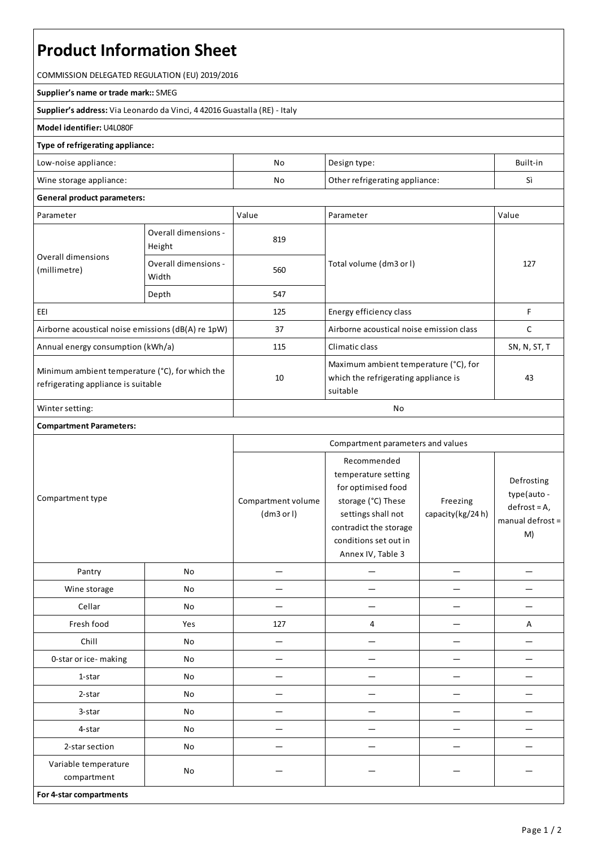# **Product Information Sheet**

COMMISSION DELEGATED REGULATION (EU) 2019/2016

#### **Supplier's name or trade mark::**SMEG

**Supplier's address:** ViaLeonardo da Vinci, 4 42016 Guastalla(RE) - Italy

### **Model identifier:** U4L080F

## **Type of refrigerating appliance:**

| Low-noise appliance:    | No | Design type:                   | Built-in      |
|-------------------------|----|--------------------------------|---------------|
| Wine storage appliance: | No | Other refrigerating appliance: | $\rightarrow$ |

#### **General product parameters:**

| Parameter                                                                              |                                | Value | Parameter                                                                                 | Value        |
|----------------------------------------------------------------------------------------|--------------------------------|-------|-------------------------------------------------------------------------------------------|--------------|
| Overall dimensions<br>(millimetre)                                                     | Overall dimensions -<br>Height | 819   |                                                                                           | 127          |
|                                                                                        | Overall dimensions -<br>Width  | 560   | Total volume (dm3 or l)                                                                   |              |
|                                                                                        | Depth                          | 547   |                                                                                           |              |
| EEI                                                                                    |                                | 125   | Energy efficiency class                                                                   | F            |
| Airborne acoustical noise emissions (dB(A) re 1pW)                                     |                                | 37    | Airborne acoustical noise emission class                                                  | C            |
| Annual energy consumption (kWh/a)                                                      |                                | 115   | Climatic class                                                                            | SN, N, ST, T |
| Minimum ambient temperature (°C), for which the<br>refrigerating appliance is suitable |                                | 10    | Maximum ambient temperature (°C), for<br>which the refrigerating appliance is<br>suitable | 43           |
| Winter setting:                                                                        |                                | No    |                                                                                           |              |

## **Compartment Parameters:**

| Compartment type                    |     | Compartment parameters and values |                                                                                                                                                                              |                              |                                                                       |
|-------------------------------------|-----|-----------------------------------|------------------------------------------------------------------------------------------------------------------------------------------------------------------------------|------------------------------|-----------------------------------------------------------------------|
|                                     |     | Compartment volume<br>(dm3 or l)  | Recommended<br>temperature setting<br>for optimised food<br>storage (°C) These<br>settings shall not<br>contradict the storage<br>conditions set out in<br>Annex IV, Table 3 | Freezing<br>capacity(kg/24h) | Defrosting<br>type(auto -<br>$defrost = A,$<br>manual defrost =<br>M) |
| Pantry                              | No  |                                   |                                                                                                                                                                              |                              |                                                                       |
| Wine storage                        | No  |                                   |                                                                                                                                                                              |                              |                                                                       |
| Cellar                              | No  |                                   |                                                                                                                                                                              |                              |                                                                       |
| Fresh food                          | Yes | 127                               | 4                                                                                                                                                                            |                              | А                                                                     |
| Chill                               | No  | -                                 |                                                                                                                                                                              |                              |                                                                       |
| 0-star or ice-making                | No  |                                   |                                                                                                                                                                              |                              |                                                                       |
| 1-star                              | No  |                                   |                                                                                                                                                                              |                              |                                                                       |
| 2-star                              | No  |                                   |                                                                                                                                                                              |                              |                                                                       |
| 3-star                              | No  |                                   |                                                                                                                                                                              |                              |                                                                       |
| 4-star                              | No  | —                                 |                                                                                                                                                                              |                              |                                                                       |
| 2-star section                      | No  |                                   |                                                                                                                                                                              |                              |                                                                       |
| Variable temperature<br>compartment | No  |                                   |                                                                                                                                                                              |                              |                                                                       |
| For 4-star compartments             |     |                                   |                                                                                                                                                                              |                              |                                                                       |